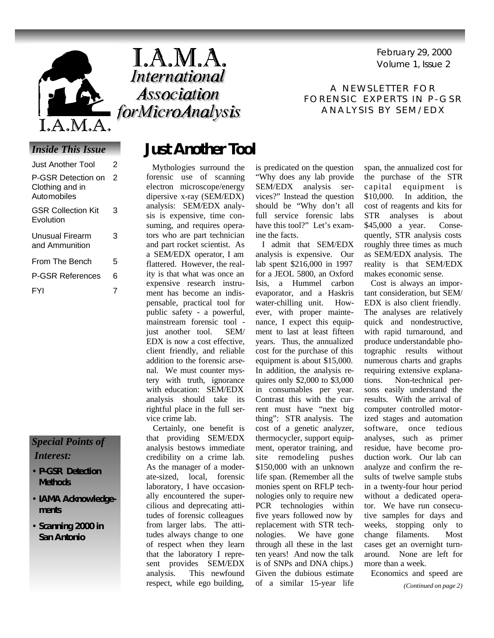

### *Inside This Issue*

| Just Another Tool                                    | 2 |
|------------------------------------------------------|---|
| P-GSR Detection on<br>Clothing and in<br>Automobiles | 2 |
| <b>GSR Collection Kit</b><br>Evolution               | 3 |
| Unusual Firearm<br>and Ammunition                    | 3 |
| From The Bench                                       | 5 |
| <b>P-GSR References</b>                              | 6 |
| FYI                                                  | 7 |

### *Special Points of Interest:*

- **P-GSR Detection Methods**
- **IAMA Acknowledgements**
- **Scanning 2000 in San Antonio**



Volume 1, Issue 2 February 29, 2000

A NEWSLETTER FOR FORENSIC EXPERTS IN P-GSR ANALYSIS BY SEM/EDX

## **Just Another Tool**

 Mythologies surround the forensic use of scanning electron microscope/energy dipersive x-ray (SEM/EDX) analysis: SEM/EDX analysis is expensive, time consuming, and requires operators who are part technician and part rocket scientist. As a SEM/EDX operator, I am flattered. However, the reality is that what was once an expensive research instrument has become an indispensable, practical tool for public safety - a powerful, mainstream forensic tool just another tool. SEM/ EDX is now a cost effective, client friendly, and reliable addition to the forensic arsenal. We must counter mystery with truth, ignorance with education: SEM/EDX analysis should take its rightful place in the full service crime lab.

 Certainly, one benefit is that providing SEM/EDX analysis bestows immediate credibility on a crime lab. As the manager of a moderate-sized, local, forensic laboratory, I have occasionally encountered the supercilious and deprecating attitudes of forensic colleagues from larger labs. The attitudes always change to one of respect when they learn that the laboratory I represent provides SEM/EDX analysis. This newfound respect, while ego building,

is predicated on the question "Why does any lab provide SEM/EDX analysis services?" Instead the question should be "Why don't all full service forensic labs have this tool?" Let's examine the facts.

 I admit that SEM/EDX analysis is expensive. Our lab spent \$216,000 in 1997 for a JEOL 5800, an Oxford Isis, a Hummel carbon evaporator, and a Haskris water-chilling unit. However, with proper maintenance, I expect this equipment to last at least fifteen years. Thus, the annualized cost for the purchase of this equipment is about \$15,000. In addition, the analysis requires only \$2,000 to \$3,000 in consumables per year. Contrast this with the current must have "next big thing": STR analysis. The cost of a genetic analyzer, thermocycler, support equipment, operator training, and site remodeling pushes \$150,000 with an unknown life span. (Remember all the monies spent on RFLP technologies only to require new PCR technologies within five years followed now by replacement with STR technologies. We have gone through all these in the last ten years! And now the talk is of SNPs and DNA chips.) Given the dubious estimate of a similar 15-year life

span, the annualized cost for the purchase of the STR capital equipment is \$10,000. In addition, the cost of reagents and kits for STR analyses is about \$45,000 a year. Consequently, STR analysis costs roughly three times as much as SEM/EDX analysis. The reality is that SEM/EDX makes economic sense.

 Cost is always an important consideration, but SEM/ EDX is also client friendly. The analyses are relatively quick and nondestructive, with rapid turnaround, and produce understandable photographic results without numerous charts and graphs requiring extensive explanations. Non-technical persons easily understand the results. With the arrival of computer controlled motorized stages and automation software, once tedious analyses, such as primer residue, have become production work. Our lab can analyze and confirm the results of twelve sample stubs in a twenty-four hour period without a dedicated operator. We have run consecutive samples for days and weeks, stopping only to change filaments. Most cases get an overnight turnaround. None are left for more than a week.

Economics and speed are

*(Continued on page 2)*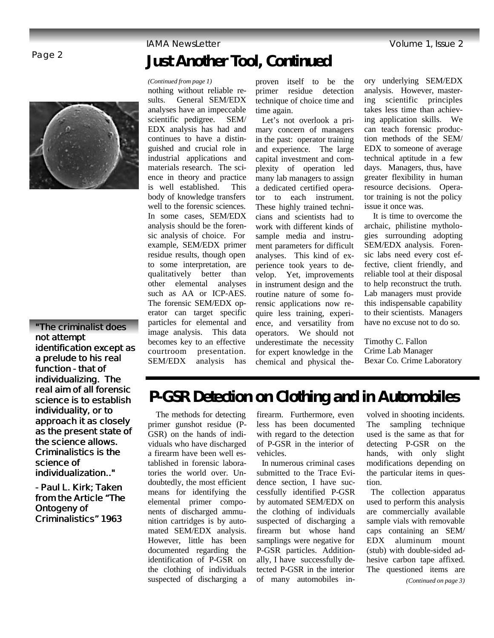

**"The criminalist does not attempt identification except as a prelude to his real function - that of individualizing. The real aim of all forensic science is to establish individuality, or to approach it as closely as the present state of the science allows. Criminalistics is the science of individualization.."**

*- Paul L. Kirk; Taken from the Article "The Ontogeny of Criminalistics" 1963*

# Page 2 **Just Another Tool, Continued**

### *(Continued from page 1)*

nothing without reliable results. General SEM/EDX analyses have an impeccable scientific pedigree. SEM/ EDX analysis has had and continues to have a distinguished and crucial role in industrial applications and materials research. The science in theory and practice is well established. This body of knowledge transfers well to the forensic sciences. In some cases, SEM/EDX analysis should be the forensic analysis of choice. For example, SEM/EDX primer residue results, though open to some interpretation, are qualitatively better than other elemental analyses such as AA or ICP-AES. The forensic SEM/EDX operator can target specific particles for elemental and image analysis. This data becomes key to an effective courtroom presentation. SEM/EDX analysis has

proven itself to be the primer residue detection technique of choice time and time again.

 Let's not overlook a primary concern of managers in the past: operator training and experience. The large capital investment and complexity of operation led many lab managers to assign a dedicated certified operator to each instrument. These highly trained technicians and scientists had to work with different kinds of sample media and instrument parameters for difficult analyses. This kind of experience took years to develop. Yet, improvements in instrument design and the routine nature of some forensic applications now require less training, experience, and versatility from operators. We should not underestimate the necessity for expert knowledge in the chemical and physical theory underlying SEM/EDX analysis. However, mastering scientific principles takes less time than achieving application skills. We can teach forensic production methods of the SEM/ EDX to someone of average technical aptitude in a few days. Managers, thus, have greater flexibility in human resource decisions. Operator training is not the policy issue it once was.

 It is time to overcome the archaic, philistine mythologies surrounding adopting SEM/EDX analysis. Forensic labs need every cost effective, client friendly, and reliable tool at their disposal to help reconstruct the truth. Lab managers must provide this indispensable capability to their scientists. Managers have no excuse not to do so.

Timothy C. Fallon Crime Lab Manager Bexar Co. Crime Laboratory

# **P-GSR Detection on Clothing and in Automobiles**

 The methods for detecting primer gunshot residue (P-GSR) on the hands of individuals who have discharged a firearm have been well established in forensic laboratories the world over. Undoubtedly, the most efficient means for identifying the elemental primer components of discharged ammunition cartridges is by automated SEM/EDX analysis. However, little has been documented regarding the identification of P-GSR on the clothing of individuals suspected of discharging a

firearm. Furthermore, even less has been documented with regard to the detection of P-GSR in the interior of vehicles.

 In numerous criminal cases submitted to the Trace Evidence section, I have successfully identified P-GSR by automated SEM/EDX on the clothing of individuals suspected of discharging a firearm but whose hand samplings were negative for P-GSR particles. Additionally, I have successfully detected P-GSR in the interior of many automobiles involved in shooting incidents. The sampling technique used is the same as that for detecting P-GSR on the hands, with only slight modifications depending on the particular items in question.

 The collection apparatus used to perform this analysis are commercially available sample vials with removable caps containing an SEM/ EDX aluminum mount (stub) with double-sided adhesive carbon tape affixed. The questioned items are *(Continued on page 3)*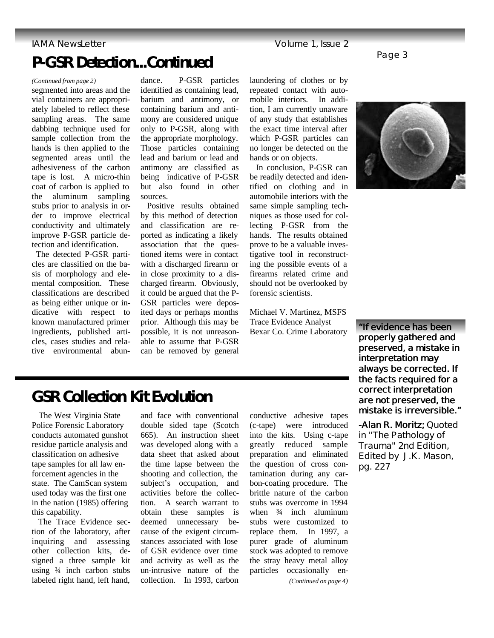### **IAMA NewsLetter Contract Contract Contract Contract Contract Contract Contract Contract Contract Contract Contract Contract Contract Contract Contract Contract Contract Contract Contract Contract Contract Contract Contrac**

## **P-GSR Detection...Continued**

### *(Continued from page 2)*

segmented into areas and the vial containers are appropriately labeled to reflect these sampling areas. The same dabbing technique used for sample collection from the hands is then applied to the segmented areas until the adhesiveness of the carbon tape is lost. A micro-thin coat of carbon is applied to the aluminum sampling stubs prior to analysis in order to improve electrical conductivity and ultimately improve P-GSR particle detection and identification.

 The detected P-GSR particles are classified on the basis of morphology and elemental composition. These classifications are described as being either unique or indicative with respect to known manufactured primer ingredients, published articles, cases studies and relative environmental abun-

dance. P-GSR particles identified as containing lead, barium and antimony, or containing barium and antimony are considered unique only to P-GSR, along with the appropriate morphology. Those particles containing lead and barium or lead and antimony are classified as being indicative of P-GSR but also found in other sources.

 Positive results obtained by this method of detection and classification are reported as indicating a likely association that the questioned items were in contact with a discharged firearm or in close proximity to a discharged firearm. Obviously, it could be argued that the P-GSR particles were deposited days or perhaps months prior. Although this may be possible, it is not unreasonable to assume that P-GSR can be removed by general laundering of clothes or by repeated contact with automobile interiors. In addition, I am currently unaware of any study that establishes the exact time interval after which P-GSR particles can no longer be detected on the hands or on objects.

 In conclusion, P-GSR can be readily detected and identified on clothing and in automobile interiors with the same simple sampling techniques as those used for collecting P-GSR from the hands. The results obtained prove to be a valuable investigative tool in reconstructing the possible events of a firearms related crime and should not be overlooked by forensic scientists.

Michael V. Martinez, MSFS Trace Evidence Analyst Bexar Co. Crime Laboratory



**"If evidence has been properly gathered and preserved, a mistake in interpretation may always be corrected. If the facts required for a correct interpretation are not preserved, the mistake is irreversible."** 

*-Alan R. Moritz; Quoted in "The Pathology of Trauma" 2nd Edition, Edited by J.K. Mason, pg. 227*

# **GSR Collection Kit Evolution**

 The West Virginia State Police Forensic Laboratory conducts automated gunshot residue particle analysis and classification on adhesive tape samples for all law enforcement agencies in the state. The CamScan system used today was the first one in the nation (1985) offering this capability.

 The Trace Evidence section of the laboratory, after inquiring and assessing other collection kits, designed a three sample kit using  $\frac{3}{4}$  inch carbon stubs labeled right hand, left hand,

and face with conventional double sided tape (Scotch 665). An instruction sheet was developed along with a data sheet that asked about the time lapse between the shooting and collection, the subject's occupation, and activities before the collection. A search warrant to obtain these samples is deemed unnecessary because of the exigent circumstances associated with lose of GSR evidence over time and activity as well as the un-intrusive nature of the collection. In 1993, carbon

conductive adhesive tapes (c-tape) were introduced into the kits. Using c-tape greatly reduced sample preparation and eliminated the question of cross contamination during any carbon-coating procedure. The brittle nature of the carbon stubs was overcome in 1994 when  $\frac{3}{4}$  inch aluminum stubs were customized to replace them. In 1997, a purer grade of aluminum stock was adopted to remove the stray heavy metal alloy particles occasionally en-

*(Continued on page 4)*

### Page 3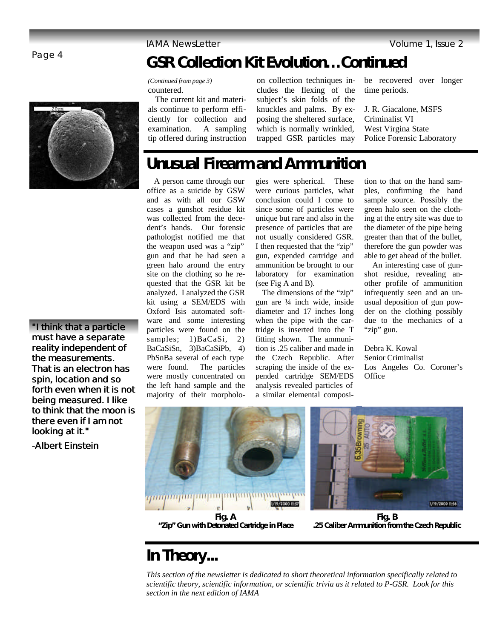### Page 4

**"I think that a particle must have a separate reality independent of the measurements. That is an electron has spin, location and so forth even when it is not being measured. I like to think that the moon is there even if I am not looking at it."** 

*-Albert Einstein*

# **GSR Collection Kit Evolution…Continued**

*(Continued from page 3)* countered.

 The current kit and materials continue to perform efficiently for collection and examination. A sampling tip offered during instruction

on collection techniques includes the flexing of the subject's skin folds of the knuckles and palms. By exposing the sheltered surface, which is normally wrinkled, trapped GSR particles may

be recovered over longer time periods.

J. R. Giacalone, MSFS Criminalist VI West Virgina State Police Forensic Laboratory

# **Unusual Firearm and Ammunition**

 A person came through our office as a suicide by GSW and as with all our GSW cases a gunshot residue kit was collected from the decedent's hands. Our forensic pathologist notified me that the weapon used was a "zip" gun and that he had seen a green halo around the entry site on the clothing so he requested that the GSR kit be analyzed. I analyzed the GSR kit using a SEM/EDS with Oxford Isis automated software and some interesting particles were found on the samples; 1)BaCaSi, 2) BaCaSiSn, 3)BaCaSiPb, 4) PbSnBa several of each type were found. The particles were mostly concentrated on the left hand sample and the majority of their morpholo-

gies were spherical. These were curious particles, what conclusion could I come to since some of particles were unique but rare and also in the presence of particles that are not usually considered GSR. I then requested that the "zip" gun, expended cartridge and ammunition be brought to our laboratory for examination (see Fig A and B).

 The dimensions of the "zip" gun are ¼ inch wide, inside diameter and 17 inches long when the pipe with the cartridge is inserted into the T fitting shown. The ammunition is .25 caliber and made in the Czech Republic. After scraping the inside of the expended cartridge SEM/EDS analysis revealed particles of a similar elemental composi-

tion to that on the hand samples, confirming the hand sample source. Possibly the green halo seen on the clothing at the entry site was due to the diameter of the pipe being greater than that of the bullet, therefore the gun powder was able to get ahead of the bullet.

 An interesting case of gunshot residue, revealing another profile of ammunition infrequently seen and an unusual deposition of gun powder on the clothing possibly due to the mechanics of a "zip" gun.

Debra K. Kowal Senior Criminalist Los Angeles Co. Coroner's **Office** 

1/19/2000 11:56

1/19/2000 11:37 **Fig. A**

**"Zip" Gun with Detonated Cartridge in Place**

**Fig. B .25 Caliber Ammunition from the Czech Republic**

# **In Theory...**

*This section of the newsletter is dedicated to short theoretical information specifically related to scientific theory, scientific information, or scientific trivia as it related to P-GSR. Look for this section in the next edition of IAMA*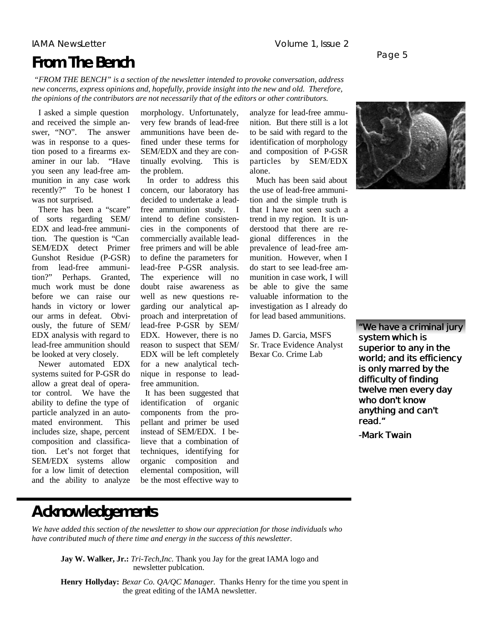### IAMA NewsLetter Volume 1, Issue 2

# **From The Bench**

Page 5

*"FROM THE BENCH" is a section of the newsletter intended to provoke conversation, address new concerns, express opinions and, hopefully, provide insight into the new and old. Therefore, the opinions of the contributors are not necessarily that of the editors or other contributors.*

 I asked a simple question and received the simple answer, "NO". The answer was in response to a question posed to a firearms examiner in our lab. "Have you seen any lead-free ammunition in any case work recently?" To be honest I was not surprised.

 There has been a "scare" of sorts regarding SEM/ EDX and lead-free ammunition. The question is "Can SEM/EDX detect Primer Gunshot Residue (P-GSR) from lead-free ammunition?" Perhaps. Granted. much work must be done before we can raise our hands in victory or lower our arms in defeat. Obviously, the future of SEM/ EDX analysis with regard to lead-free ammunition should be looked at very closely.

 Newer automated EDX systems suited for P-GSR do allow a great deal of operator control. We have the ability to define the type of particle analyzed in an automated environment. This includes size, shape, percent composition and classification. Let's not forget that SEM/EDX systems allow for a low limit of detection and the ability to analyze

morphology. Unfortunately, very few brands of lead-free ammunitions have been defined under these terms for SEM/EDX and they are continually evolving. This is the problem.

 In order to address this concern, our laboratory has decided to undertake a leadfree ammunition study. I intend to define consistencies in the components of commercially available leadfree primers and will be able to define the parameters for lead-free P-GSR analysis. The experience will no doubt raise awareness as well as new questions regarding our analytical approach and interpretation of lead-free P-GSR by SEM/ EDX. However, there is no reason to suspect that SEM/ EDX will be left completely for a new analytical technique in response to leadfree ammunition.

 It has been suggested that identification of organic components from the propellant and primer be used instead of SEM/EDX. I believe that a combination of techniques, identifying for organic composition and elemental composition, will be the most effective way to analyze for lead-free ammunition. But there still is a lot to be said with regard to the identification of morphology and composition of P-GSR particles by SEM/EDX alone.

 Much has been said about the use of lead-free ammunition and the simple truth is that I have not seen such a trend in my region. It is understood that there are regional differences in the prevalence of lead-free ammunition. However, when I do start to see lead-free ammunition in case work, I will be able to give the same valuable information to the investigation as I already do for lead based ammunitions.

James D. Garcia, MSFS Sr. Trace Evidence Analyst Bexar Co. Crime Lab



**"We have a criminal jury system which is superior to any in the world; and its efficiency is only marred by the difficulty of finding twelve men every day who don't know anything and can't read."**

*-Mark Twain*

### **Acknowledgements**

*We have added this section of the newsletter to show our appreciation for those individuals who have contributed much of there time and energy in the success of this newsletter.*

**Jay W. Walker, Jr.:** *Tri-Tech,Inc*. Thank you Jay for the great IAMA logo and newsletter publcation.

**Henry Hollyday:** *Bexar Co. QA/QC Manager.* Thanks Henry for the time you spent in the great editing of the IAMA newsletter.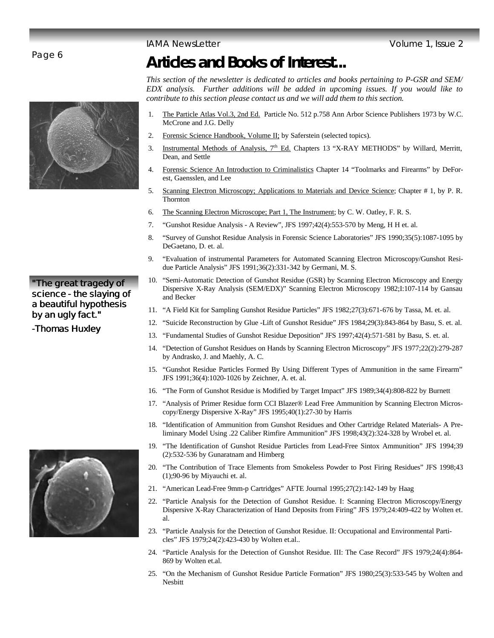### Page 6



### **"The great tragedy of science - the slaying of a beautiful hypothesis by an ugly fact."**

*-Thomas Huxley*



# **Articles and Books of Interest...**

*This section of the newsletter is dedicated to articles and books pertaining to P-GSR and SEM/ EDX analysis. Further additions will be added in upcoming issues. If you would like to contribute to this section please contact us and we will add them to this section.* 

- 1. The Particle Atlas Vol.3, 2nd Ed. Particle No. 512 p.758 Ann Arbor Science Publishers 1973 by W.C. McCrone and J.G. Delly
- 2. Forensic Science Handbook, Volume II; by Saferstein (selected topics).
- 3. Instrumental Methods of Analysis, 7<sup>th</sup> Ed. Chapters 13 "X-RAY METHODS" by Willard, Merritt, Dean, and Settle
- 4. Forensic Science An Introduction to Criminalistics Chapter 14 "Toolmarks and Firearms" by DeForest, Gaensslen, and Lee
- 5. Scanning Electron Microscopy; Applications to Materials and Device Science; Chapter # 1, by P. R. Thornton
- 6. The Scanning Electron Microscope; Part 1, The Instrument; by C. W. Oatley, F. R. S.
- 7. "Gunshot Residue Analysis A Review", JFS 1997;42(4):553-570 by Meng, H H et. al.
- 8. "Survey of Gunshot Residue Analysis in Forensic Science Laboratories" JFS 1990;35(5):1087-1095 by DeGaetano, D. et. al.
- 9. "Evaluation of instrumental Parameters for Automated Scanning Electron Microscopy/Gunshot Residue Particle Analysis" JFS 1991;36(2):331-342 by Germani, M. S.
- 10. "Semi-Automatic Detection of Gunshot Residue (GSR) by Scanning Electron Microscopy and Energy Dispersive X-Ray Analysis (SEM/EDX)" Scanning Electron Microscopy 1982;I:107-114 by Gansau and Becker
- 11. "A Field Kit for Sampling Gunshot Residue Particles" JFS 1982;27(3):671-676 by Tassa, M. et. al.
- 12. "Suicide Reconstruction by Glue -Lift of Gunshot Residue" JFS 1984;29(3):843-864 by Basu, S. et. al.
- 13. "Fundamental Studies of Gunshot Residue Deposition" JFS 1997;42(4):571-581 by Basu, S. et. al.
- 14. "Detection of Gunshot Residues on Hands by Scanning Electron Microscopy" JFS 1977;22(2):279-287 by Andrasko, J. and Maehly, A. C.
- 15. "Gunshot Residue Particles Formed By Using Different Types of Ammunition in the same Firearm" JFS 1991;36(4):1020-1026 by Zeichner, A. et. al.
- 16. "The Form of Gunshot Residue is Modified by Target Impact" JFS 1989;34(4):808-822 by Burnett
- 17. "Analysis of Primer Residue form CCI Blazer® Lead Free Ammunition by Scanning Electron Microscopy/Energy Dispersive X-Ray" JFS 1995;40(1):27-30 by Harris
- 18. "Identification of Ammunition from Gunshot Residues and Other Cartridge Related Materials- A Preliminary Model Using .22 Caliber Rimfire Ammunition" JFS 1998;43(2):324-328 by Wrobel et. al.
- 19. "The Identification of Gunshot Residue Particles from Lead-Free Sintox Ammunition" JFS 1994;39 (2):532-536 by Gunaratnam and Himberg
- 20. "The Contribution of Trace Elements from Smokeless Powder to Post Firing Residues" JFS 1998;43 (1);90-96 by Miyauchi et. al.
- 21. "American Lead-Free 9mm-p Cartridges" AFTE Journal 1995;27(2):142-149 by Haag
- 22. "Particle Analysis for the Detection of Gunshot Residue. I: Scanning Electron Microscopy/Energy Dispersive X-Ray Characterization of Hand Deposits from Firing" JFS 1979;24:409-422 by Wolten et. al.
- 23. "Particle Analysis for the Detection of Gunshot Residue. II: Occupational and Environmental Particles" JFS 1979;24(2):423-430 by Wolten et.al..
- 24. "Particle Analysis for the Detection of Gunshot Residue. III: The Case Record" JFS 1979;24(4):864- 869 by Wolten et.al.
- 25. "On the Mechanism of Gunshot Residue Particle Formation" JFS 1980;25(3):533-545 by Wolten and Nesbitt